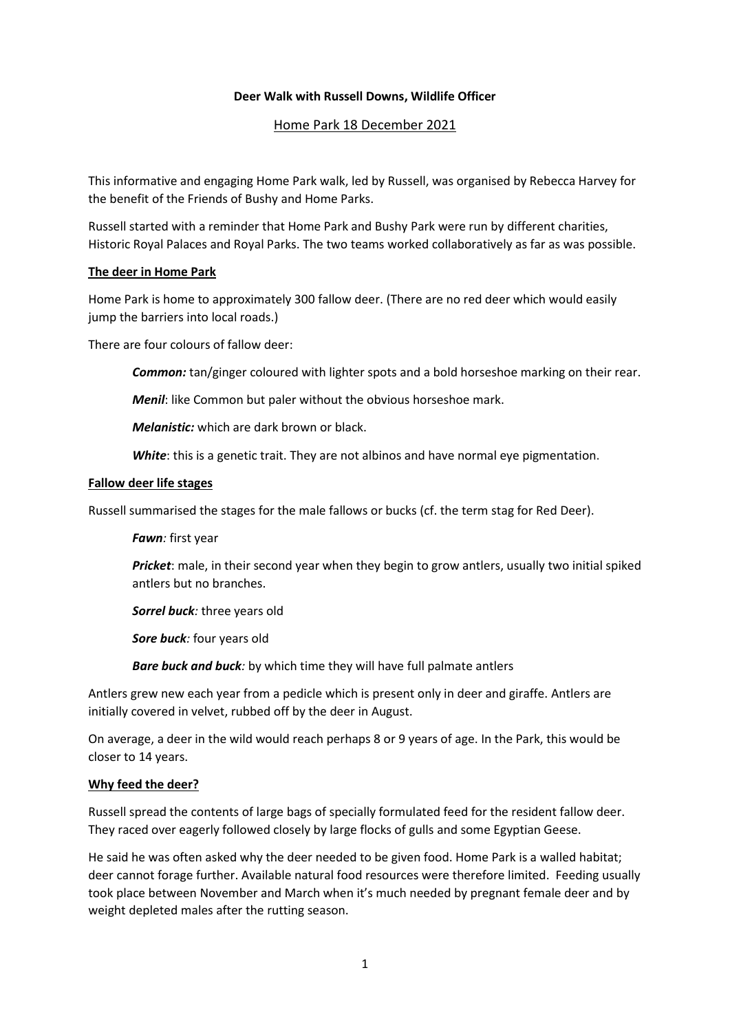### **Deer Walk with Russell Downs, Wildlife Officer**

# Home Park 18 December 2021

This informative and engaging Home Park walk, led by Russell, was organised by Rebecca Harvey for the benefit of the Friends of Bushy and Home Parks.

Russell started with a reminder that Home Park and Bushy Park were run by different charities, Historic Royal Palaces and Royal Parks. The two teams worked collaboratively as far as was possible.

### **The deer in Home Park**

Home Park is home to approximately 300 fallow deer. (There are no red deer which would easily jump the barriers into local roads.)

There are four colours of fallow deer:

*Common:* tan/ginger coloured with lighter spots and a bold horseshoe marking on their rear.

*Menil*: like Common but paler without the obvious horseshoe mark.

*Melanistic:* which are dark brown or black.

*White*: this is a genetic trait. They are not albinos and have normal eye pigmentation.

#### **Fallow deer life stages**

Russell summarised the stages for the male fallows or bucks (cf. the term stag for Red Deer).

*Fawn:* first year

*Pricket*: male, in their second year when they begin to grow antlers, usually two initial spiked antlers but no branches.

*Sorrel buck:* three years old

*Sore buck:* four years old

*Bare buck and buck:* by which time they will have full palmate antlers

Antlers grew new each year from a pedicle which is present only in deer and giraffe. Antlers are initially covered in velvet, rubbed off by the deer in August.

On average, a deer in the wild would reach perhaps 8 or 9 years of age. In the Park, this would be closer to 14 years.

### **Why feed the deer?**

Russell spread the contents of large bags of specially formulated feed for the resident fallow deer. They raced over eagerly followed closely by large flocks of gulls and some Egyptian Geese.

He said he was often asked why the deer needed to be given food. Home Park is a walled habitat; deer cannot forage further. Available natural food resources were therefore limited. Feeding usually took place between November and March when it's much needed by pregnant female deer and by weight depleted males after the rutting season.